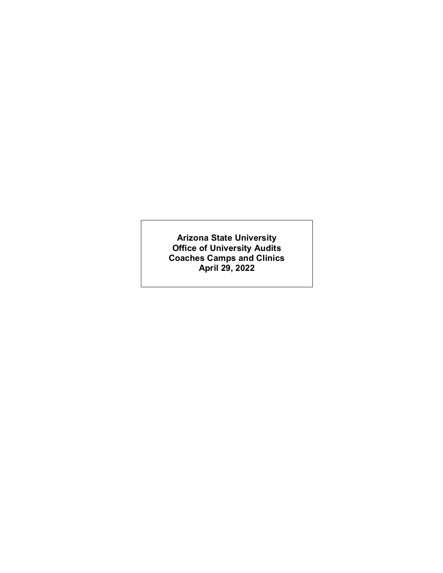**Arizona State University Office of University Audits Coaches Camps and Clinics April 29, 2022**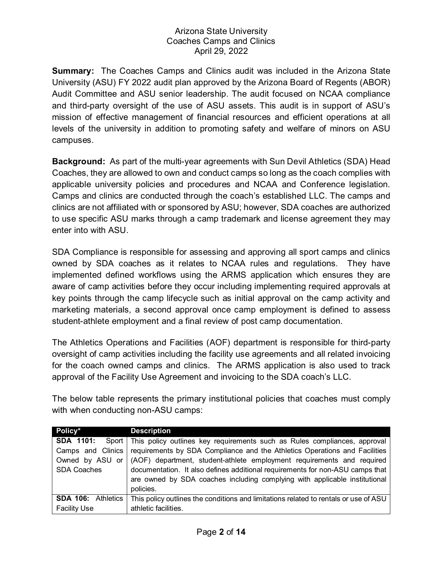**Summary:** The Coaches Camps and Clinics audit was included in the Arizona State University (ASU) FY 2022 audit plan approved by the Arizona Board of Regents (ABOR) Audit Committee and ASU senior leadership. The audit focused on NCAA compliance and third-party oversight of the use of ASU assets. This audit is in support of ASU's mission of effective management of financial resources and efficient operations at all levels of the university in addition to promoting safety and welfare of minors on ASU campuses.

**Background:** As part of the multi-year agreements with Sun Devil Athletics (SDA) Head Coaches, they are allowed to own and conduct camps so long as the coach complies with applicable university policies and procedures and NCAA and Conference legislation. Camps and clinics are conducted through the coach's established LLC. The camps and clinics are not affiliated with or sponsored by ASU; however, SDA coaches are authorized to use specific ASU marks through a camp trademark and license agreement they may enter into with ASU.

SDA Compliance is responsible for assessing and approving all sport camps and clinics owned by SDA coaches as it relates to NCAA rules and regulations. They have implemented defined workflows using the ARMS application which ensures they are aware of camp activities before they occur including implementing required approvals at key points through the camp lifecycle such as initial approval on the camp activity and marketing materials, a second approval once camp employment is defined to assess student-athlete employment and a final review of post camp documentation.

The Athletics Operations and Facilities (AOF) department is responsible for third-party oversight of camp activities including the facility use agreements and all related invoicing for the coach owned camps and clinics. The ARMS application is also used to track approval of the Facility Use Agreement and invoicing to the SDA coach's LLC.

The below table represents the primary institutional policies that coaches must comply with when conducting non-ASU camps:

| Policy*                   | <b>Description</b>                                                                   |  |  |
|---------------------------|--------------------------------------------------------------------------------------|--|--|
| <b>SDA 1101:</b>          | Sport This policy outlines key requirements such as Rules compliances, approval      |  |  |
| Camps and Clinics         | requirements by SDA Compliance and the Athletics Operations and Facilities           |  |  |
| Owned by ASU or           | (AOF) department, student-athlete employment requirements and required               |  |  |
| <b>SDA Coaches</b>        | documentation. It also defines additional requirements for non-ASU camps that        |  |  |
|                           | are owned by SDA coaches including complying with applicable institutional           |  |  |
|                           | policies.                                                                            |  |  |
| <b>SDA 106: Athletics</b> | This policy outlines the conditions and limitations related to rentals or use of ASU |  |  |
| <b>Facility Use</b>       | athletic facilities.                                                                 |  |  |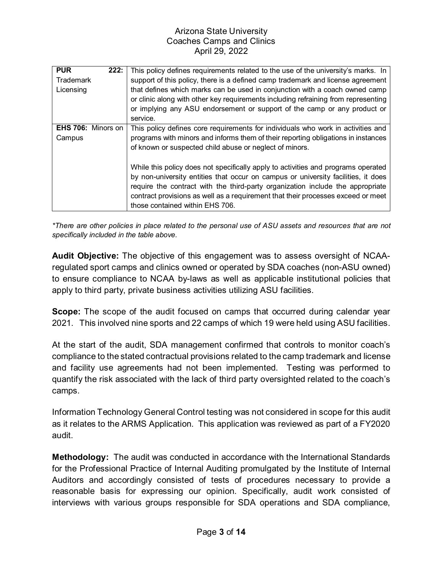| <b>PUR</b><br>222:<br><b>Trademark</b><br>Licensing | This policy defines requirements related to the use of the university's marks. In<br>support of this policy, there is a defined camp trademark and license agreement<br>that defines which marks can be used in conjunction with a coach owned camp<br>or clinic along with other key requirements including refraining from representing<br>or implying any ASU endorsement or support of the camp or any product or<br>service. |
|-----------------------------------------------------|-----------------------------------------------------------------------------------------------------------------------------------------------------------------------------------------------------------------------------------------------------------------------------------------------------------------------------------------------------------------------------------------------------------------------------------|
| <b>EHS 706: Minors on</b>                           | This policy defines core requirements for individuals who work in activities and                                                                                                                                                                                                                                                                                                                                                  |
| Campus                                              | programs with minors and informs them of their reporting obligations in instances<br>of known or suspected child abuse or neglect of minors.                                                                                                                                                                                                                                                                                      |
|                                                     | While this policy does not specifically apply to activities and programs operated<br>by non-university entities that occur on campus or university facilities, it does<br>require the contract with the third-party organization include the appropriate<br>contract provisions as well as a requirement that their processes exceed or meet<br>those contained within EHS 706.                                                   |

*\*There are other policies in place related to the personal use of ASU assets and resources that are not specifically included in the table above.*

**Audit Objective:** The objective of this engagement was to assess oversight of NCAAregulated sport camps and clinics owned or operated by SDA coaches (non-ASU owned) to ensure compliance to NCAA by-laws as well as applicable institutional policies that apply to third party, private business activities utilizing ASU facilities.

**Scope:** The scope of the audit focused on camps that occurred during calendar year 2021. This involved nine sports and 22 camps of which 19 were held using ASU facilities.

At the start of the audit, SDA management confirmed that controls to monitor coach's compliance to the stated contractual provisions related to the camp trademark and license and facility use agreements had not been implemented. Testing was performed to quantify the risk associated with the lack of third party oversighted related to the coach's camps.

Information Technology General Control testing was not considered in scope for this audit as it relates to the ARMS Application. This application was reviewed as part of a FY2020 audit.

**Methodology:** The audit was conducted in accordance with the International Standards for the Professional Practice of Internal Auditing promulgated by the Institute of Internal Auditors and accordingly consisted of tests of procedures necessary to provide a reasonable basis for expressing our opinion. Specifically, audit work consisted of interviews with various groups responsible for SDA operations and SDA compliance,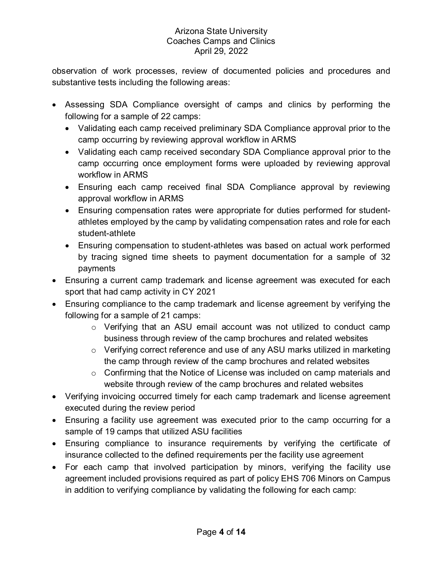observation of work processes, review of documented policies and procedures and substantive tests including the following areas:

- Assessing SDA Compliance oversight of camps and clinics by performing the following for a sample of 22 camps:
	- Validating each camp received preliminary SDA Compliance approval prior to the camp occurring by reviewing approval workflow in ARMS
	- Validating each camp received secondary SDA Compliance approval prior to the camp occurring once employment forms were uploaded by reviewing approval workflow in ARMS
	- Ensuring each camp received final SDA Compliance approval by reviewing approval workflow in ARMS
	- Ensuring compensation rates were appropriate for duties performed for studentathletes employed by the camp by validating compensation rates and role for each student-athlete
	- Ensuring compensation to student-athletes was based on actual work performed by tracing signed time sheets to payment documentation for a sample of 32 payments
- Ensuring a current camp trademark and license agreement was executed for each sport that had camp activity in CY 2021
- Ensuring compliance to the camp trademark and license agreement by verifying the following for a sample of 21 camps:
	- o Verifying that an ASU email account was not utilized to conduct camp business through review of the camp brochures and related websites
	- o Verifying correct reference and use of any ASU marks utilized in marketing the camp through review of the camp brochures and related websites
	- o Confirming that the Notice of License was included on camp materials and website through review of the camp brochures and related websites
- Verifying invoicing occurred timely for each camp trademark and license agreement executed during the review period
- Ensuring a facility use agreement was executed prior to the camp occurring for a sample of 19 camps that utilized ASU facilities
- Ensuring compliance to insurance requirements by verifying the certificate of insurance collected to the defined requirements per the facility use agreement
- For each camp that involved participation by minors, verifying the facility use agreement included provisions required as part of policy EHS 706 Minors on Campus in addition to verifying compliance by validating the following for each camp: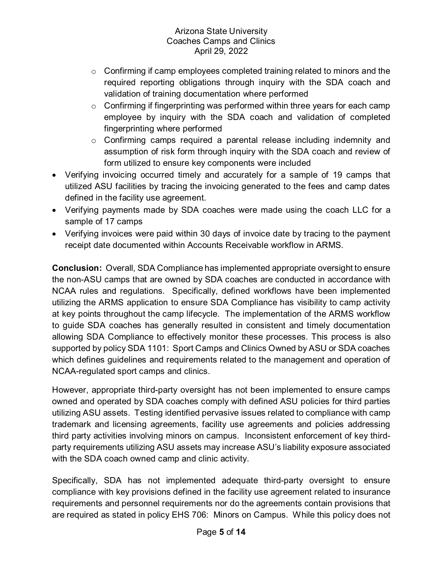- o Confirming if camp employees completed training related to minors and the required reporting obligations through inquiry with the SDA coach and validation of training documentation where performed
- $\circ$  Confirming if fingerprinting was performed within three years for each camp employee by inquiry with the SDA coach and validation of completed fingerprinting where performed
- o Confirming camps required a parental release including indemnity and assumption of risk form through inquiry with the SDA coach and review of form utilized to ensure key components were included
- Verifying invoicing occurred timely and accurately for a sample of 19 camps that utilized ASU facilities by tracing the invoicing generated to the fees and camp dates defined in the facility use agreement.
- Verifying payments made by SDA coaches were made using the coach LLC for a sample of 17 camps
- Verifying invoices were paid within 30 days of invoice date by tracing to the payment receipt date documented within Accounts Receivable workflow in ARMS.

**Conclusion:** Overall, SDA Compliance has implemented appropriate oversight to ensure the non-ASU camps that are owned by SDA coaches are conducted in accordance with NCAA rules and regulations. Specifically, defined workflows have been implemented utilizing the ARMS application to ensure SDA Compliance has visibility to camp activity at key points throughout the camp lifecycle. The implementation of the ARMS workflow to guide SDA coaches has generally resulted in consistent and timely documentation allowing SDA Compliance to effectively monitor these processes. This process is also supported by policy SDA 1101: Sport Camps and Clinics Owned by ASU or SDA coaches which defines guidelines and requirements related to the management and operation of NCAA-regulated sport camps and clinics.

However, appropriate third-party oversight has not been implemented to ensure camps owned and operated by SDA coaches comply with defined ASU policies for third parties utilizing ASU assets. Testing identified pervasive issues related to compliance with camp trademark and licensing agreements, facility use agreements and policies addressing third party activities involving minors on campus. Inconsistent enforcement of key thirdparty requirements utilizing ASU assets may increase ASU's liability exposure associated with the SDA coach owned camp and clinic activity.

Specifically, SDA has not implemented adequate third-party oversight to ensure compliance with key provisions defined in the facility use agreement related to insurance requirements and personnel requirements nor do the agreements contain provisions that are required as stated in policy EHS 706: Minors on Campus. While this policy does not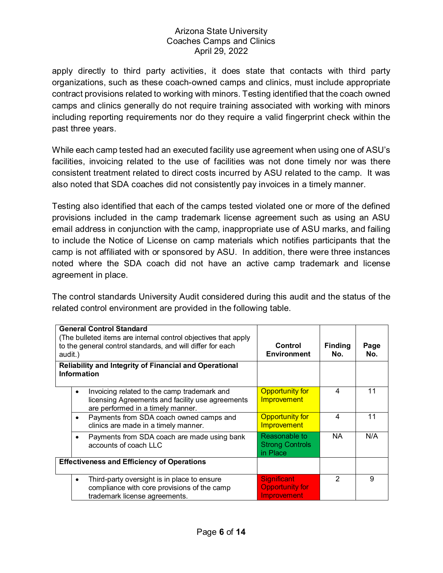apply directly to third party activities, it does state that contacts with third party organizations, such as these coach-owned camps and clinics, must include appropriate contract provisions related to working with minors. Testing identified that the coach owned camps and clinics generally do not require training associated with working with minors including reporting requirements nor do they require a valid fingerprint check within the past three years.

While each camp tested had an executed facility use agreement when using one of ASU's facilities, invoicing related to the use of facilities was not done timely nor was there consistent treatment related to direct costs incurred by ASU related to the camp. It was also noted that SDA coaches did not consistently pay invoices in a timely manner.

Testing also identified that each of the camps tested violated one or more of the defined provisions included in the camp trademark license agreement such as using an ASU email address in conjunction with the camp, inappropriate use of ASU marks, and failing to include the Notice of License on camp materials which notifies participants that the camp is not affiliated with or sponsored by ASU. In addition, there were three instances noted where the SDA coach did not have an active camp trademark and license agreement in place.

The control standards University Audit considered during this audit and the status of the related control environment are provided in the following table.

| <b>General Control Standard</b><br>(The bulleted items are internal control objectives that apply<br>to the general control standards, and will differ for each<br>audit.)<br><b>Reliability and Integrity of Financial and Operational</b><br>Information |                                                                                                                                                   | Control<br><b>Environment</b>                                      | <b>Finding</b><br>No. | Page<br>No. |
|------------------------------------------------------------------------------------------------------------------------------------------------------------------------------------------------------------------------------------------------------------|---------------------------------------------------------------------------------------------------------------------------------------------------|--------------------------------------------------------------------|-----------------------|-------------|
|                                                                                                                                                                                                                                                            | Invoicing related to the camp trademark and<br>$\bullet$<br>licensing Agreements and facility use agreements<br>are performed in a timely manner. | <b>Opportunity for</b><br><b>Improvement</b>                       | 4                     | 11          |
|                                                                                                                                                                                                                                                            | Payments from SDA coach owned camps and<br>$\bullet$<br>clinics are made in a timely manner.                                                      | <b>Opportunity for</b><br><b>Improvement</b>                       | 4                     | 11          |
|                                                                                                                                                                                                                                                            | Payments from SDA coach are made using bank<br>accounts of coach LLC                                                                              | Reasonable to<br><b>Strong Controls</b><br>in Place                | NA.                   | N/A         |
| <b>Effectiveness and Efficiency of Operations</b>                                                                                                                                                                                                          |                                                                                                                                                   |                                                                    |                       |             |
|                                                                                                                                                                                                                                                            | Third-party oversight is in place to ensure<br>$\bullet$<br>compliance with core provisions of the camp<br>trademark license agreements.          | <b>Significant</b><br><b>Opportunity for</b><br><b>Improvement</b> | 2                     | 9           |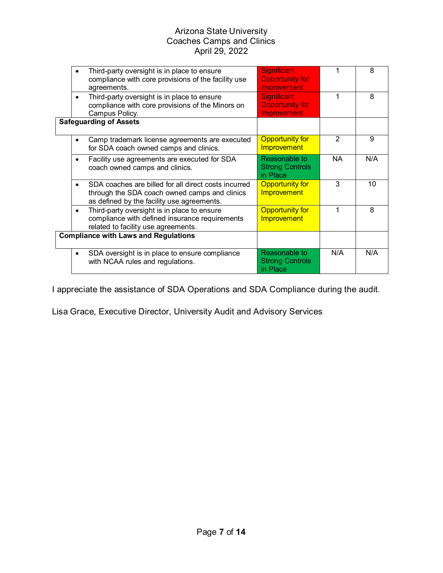|  | Third-party oversight is in place to ensure<br>compliance with core provisions of the facility use<br>agreements.                                   | <b>Significant</b><br><b>Opportunity for</b><br>Improvement |                | 8   |
|--|-----------------------------------------------------------------------------------------------------------------------------------------------------|-------------------------------------------------------------|----------------|-----|
|  | Third-party oversight is in place to ensure<br>compliance with core provisions of the Minors on<br>Campus Policy.                                   | <b>Significant</b><br><b>Opportunity for</b><br>Improvement |                | 8   |
|  | <b>Safeguarding of Assets</b>                                                                                                                       |                                                             |                |     |
|  | Camp trademark license agreements are executed<br>$\bullet$<br>for SDA coach owned camps and clinics.                                               | <b>Opportunity for</b><br><b>Improvement</b>                | $\mathfrak{p}$ | 9   |
|  | Facility use agreements are executed for SDA<br>$\bullet$<br>coach owned camps and clinics.                                                         | Reasonable to<br><b>Strong Controls</b><br>in Place         | NA.            | N/A |
|  | SDA coaches are billed for all direct costs incurred<br>through the SDA coach owned camps and clinics<br>as defined by the facility use agreements. | <b>Opportunity for</b><br><b>Improvement</b>                | 3              | 10  |
|  | Third-party oversight is in place to ensure<br>$\bullet$<br>compliance with defined insurance requirements<br>related to facility use agreements.   | <b>Opportunity for</b><br><b>Improvement</b>                | 1              | 8   |
|  | <b>Compliance with Laws and Regulations</b>                                                                                                         |                                                             |                |     |
|  | SDA oversight is in place to ensure compliance<br>with NCAA rules and regulations.                                                                  | Reasonable to<br><b>Strong Controls</b><br>in Place         | N/A            | N/A |

I appreciate the assistance of SDA Operations and SDA Compliance during the audit.

Lisa Grace, Executive Director, University Audit and Advisory Services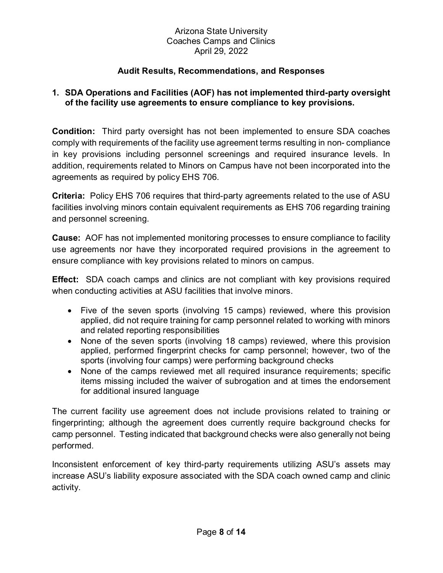## **Audit Results, Recommendations, and Responses**

### **1. SDA Operations and Facilities (AOF) has not implemented third-party oversight of the facility use agreements to ensure compliance to key provisions.**

**Condition:** Third party oversight has not been implemented to ensure SDA coaches comply with requirements of the facility use agreement terms resulting in non- compliance in key provisions including personnel screenings and required insurance levels. In addition, requirements related to Minors on Campus have not been incorporated into the agreements as required by policy EHS 706.

**Criteria:** Policy EHS 706 requires that third-party agreements related to the use of ASU facilities involving minors contain equivalent requirements as EHS 706 regarding training and personnel screening.

**Cause:** AOF has not implemented monitoring processes to ensure compliance to facility use agreements nor have they incorporated required provisions in the agreement to ensure compliance with key provisions related to minors on campus.

**Effect:** SDA coach camps and clinics are not compliant with key provisions required when conducting activities at ASU facilities that involve minors.

- Five of the seven sports (involving 15 camps) reviewed, where this provision applied, did not require training for camp personnel related to working with minors and related reporting responsibilities
- None of the seven sports (involving 18 camps) reviewed, where this provision applied, performed fingerprint checks for camp personnel; however, two of the sports (involving four camps) were performing background checks
- None of the camps reviewed met all required insurance requirements; specific items missing included the waiver of subrogation and at times the endorsement for additional insured language

The current facility use agreement does not include provisions related to training or fingerprinting; although the agreement does currently require background checks for camp personnel. Testing indicated that background checks were also generally not being performed.

Inconsistent enforcement of key third-party requirements utilizing ASU's assets may increase ASU's liability exposure associated with the SDA coach owned camp and clinic activity.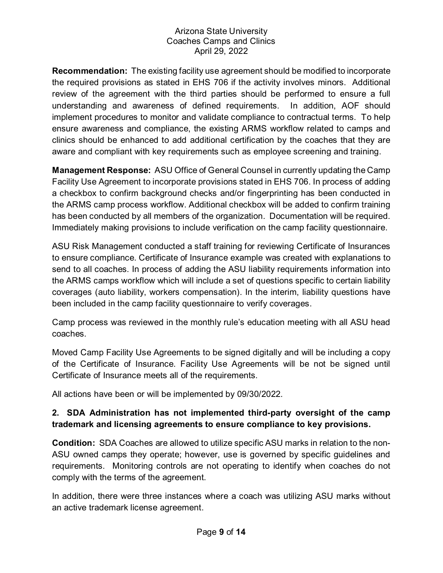**Recommendation:** The existing facility use agreement should be modified to incorporate the required provisions as stated in EHS 706 if the activity involves minors. Additional review of the agreement with the third parties should be performed to ensure a full understanding and awareness of defined requirements. In addition, AOF should implement procedures to monitor and validate compliance to contractual terms. To help ensure awareness and compliance, the existing ARMS workflow related to camps and clinics should be enhanced to add additional certification by the coaches that they are aware and compliant with key requirements such as employee screening and training.

**Management Response:** ASU Office of General Counsel in currently updating the Camp Facility Use Agreement to incorporate provisions stated in EHS 706. In process of adding a checkbox to confirm background checks and/or fingerprinting has been conducted in the ARMS camp process workflow. Additional checkbox will be added to confirm training has been conducted by all members of the organization. Documentation will be required. Immediately making provisions to include verification on the camp facility questionnaire.

ASU Risk Management conducted a staff training for reviewing Certificate of Insurances to ensure compliance. Certificate of Insurance example was created with explanations to send to all coaches. In process of adding the ASU liability requirements information into the ARMS camps workflow which will include a set of questions specific to certain liability coverages (auto liability, workers compensation). In the interim, liability questions have been included in the camp facility questionnaire to verify coverages.

Camp process was reviewed in the monthly rule's education meeting with all ASU head coaches.

Moved Camp Facility Use Agreements to be signed digitally and will be including a copy of the Certificate of Insurance. Facility Use Agreements will be not be signed until Certificate of Insurance meets all of the requirements.

All actions have been or will be implemented by 09/30/2022.

# **2. SDA Administration has not implemented third-party oversight of the camp trademark and licensing agreements to ensure compliance to key provisions.**

**Condition:** SDA Coaches are allowed to utilize specific ASU marks in relation to the non-ASU owned camps they operate; however, use is governed by specific guidelines and requirements. Monitoring controls are not operating to identify when coaches do not comply with the terms of the agreement.

In addition, there were three instances where a coach was utilizing ASU marks without an active trademark license agreement.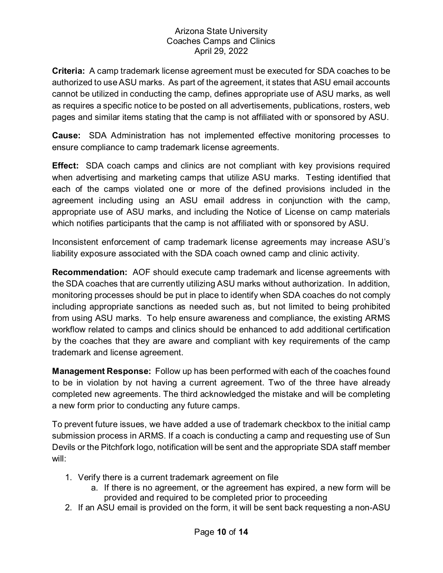**Criteria:** A camp trademark license agreement must be executed for SDA coaches to be authorized to use ASU marks. As part of the agreement, it states that ASU email accounts cannot be utilized in conducting the camp, defines appropriate use of ASU marks, as well as requires a specific notice to be posted on all advertisements, publications, rosters, web pages and similar items stating that the camp is not affiliated with or sponsored by ASU.

**Cause:** SDA Administration has not implemented effective monitoring processes to ensure compliance to camp trademark license agreements.

**Effect:** SDA coach camps and clinics are not compliant with key provisions required when advertising and marketing camps that utilize ASU marks. Testing identified that each of the camps violated one or more of the defined provisions included in the agreement including using an ASU email address in conjunction with the camp, appropriate use of ASU marks, and including the Notice of License on camp materials which notifies participants that the camp is not affiliated with or sponsored by ASU.

Inconsistent enforcement of camp trademark license agreements may increase ASU's liability exposure associated with the SDA coach owned camp and clinic activity.

**Recommendation:** AOF should execute camp trademark and license agreements with the SDA coaches that are currently utilizing ASU marks without authorization. In addition, monitoring processes should be put in place to identify when SDA coaches do not comply including appropriate sanctions as needed such as, but not limited to being prohibited from using ASU marks. To help ensure awareness and compliance, the existing ARMS workflow related to camps and clinics should be enhanced to add additional certification by the coaches that they are aware and compliant with key requirements of the camp trademark and license agreement.

**Management Response:** Follow up has been performed with each of the coaches found to be in violation by not having a current agreement. Two of the three have already completed new agreements. The third acknowledged the mistake and will be completing a new form prior to conducting any future camps.

To prevent future issues, we have added a use of trademark checkbox to the initial camp submission process in ARMS. If a coach is conducting a camp and requesting use of Sun Devils or the Pitchfork logo, notification will be sent and the appropriate SDA staff member will:

- 1. Verify there is a current trademark agreement on file
	- a. If there is no agreement, or the agreement has expired, a new form will be provided and required to be completed prior to proceeding
- 2. If an ASU email is provided on the form, it will be sent back requesting a non-ASU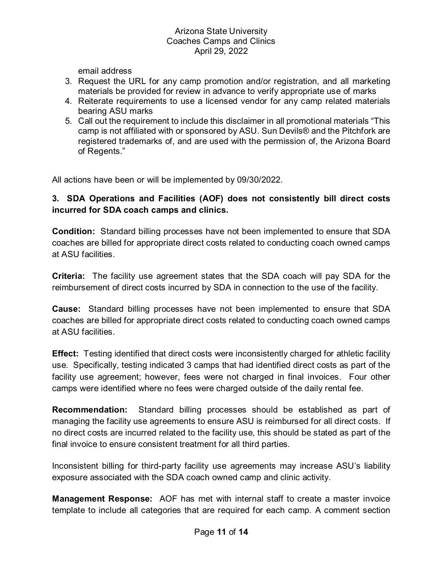email address

- 3. Request the URL for any camp promotion and/or registration, and all marketing materials be provided for review in advance to verify appropriate use of marks
- 4. Reiterate requirements to use a licensed vendor for any camp related materials bearing ASU marks
- 5. Call out the requirement to include this disclaimer in all promotional materials "This camp is not affiliated with or sponsored by ASU. Sun Devils® and the Pitchfork are registered trademarks of, and are used with the permission of, the Arizona Board of Regents."

All actions have been or will be implemented by 09/30/2022.

# **3. SDA Operations and Facilities (AOF) does not consistently bill direct costs incurred for SDA coach camps and clinics.**

**Condition:** Standard billing processes have not been implemented to ensure that SDA coaches are billed for appropriate direct costs related to conducting coach owned camps at ASU facilities.

**Criteria:** The facility use agreement states that the SDA coach will pay SDA for the reimbursement of direct costs incurred by SDA in connection to the use of the facility.

**Cause:** Standard billing processes have not been implemented to ensure that SDA coaches are billed for appropriate direct costs related to conducting coach owned camps at ASU facilities.

**Effect:** Testing identified that direct costs were inconsistently charged for athletic facility use. Specifically, testing indicated 3 camps that had identified direct costs as part of the facility use agreement; however, fees were not charged in final invoices. Four other camps were identified where no fees were charged outside of the daily rental fee.

**Recommendation:** Standard billing processes should be established as part of managing the facility use agreements to ensure ASU is reimbursed for all direct costs. If no direct costs are incurred related to the facility use, this should be stated as part of the final invoice to ensure consistent treatment for all third parties.

Inconsistent billing for third-party facility use agreements may increase ASU's liability exposure associated with the SDA coach owned camp and clinic activity.

**Management Response:** AOF has met with internal staff to create a master invoice template to include all categories that are required for each camp. A comment section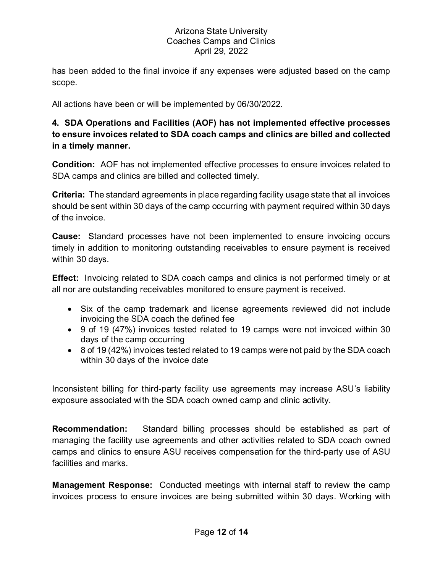has been added to the final invoice if any expenses were adjusted based on the camp scope.

All actions have been or will be implemented by 06/30/2022.

# **4. SDA Operations and Facilities (AOF) has not implemented effective processes to ensure invoices related to SDA coach camps and clinics are billed and collected in a timely manner.**

**Condition:** AOF has not implemented effective processes to ensure invoices related to SDA camps and clinics are billed and collected timely.

**Criteria:** The standard agreements in place regarding facility usage state that all invoices should be sent within 30 days of the camp occurring with payment required within 30 days of the invoice.

**Cause:** Standard processes have not been implemented to ensure invoicing occurs timely in addition to monitoring outstanding receivables to ensure payment is received within 30 days.

**Effect:** Invoicing related to SDA coach camps and clinics is not performed timely or at all nor are outstanding receivables monitored to ensure payment is received.

- Six of the camp trademark and license agreements reviewed did not include invoicing the SDA coach the defined fee
- 9 of 19 (47%) invoices tested related to 19 camps were not invoiced within 30 days of the camp occurring
- 8 of 19 (42%) invoices tested related to 19 camps were not paid by the SDA coach within 30 days of the invoice date

Inconsistent billing for third-party facility use agreements may increase ASU's liability exposure associated with the SDA coach owned camp and clinic activity.

**Recommendation:** Standard billing processes should be established as part of managing the facility use agreements and other activities related to SDA coach owned camps and clinics to ensure ASU receives compensation for the third-party use of ASU facilities and marks.

**Management Response:** Conducted meetings with internal staff to review the camp invoices process to ensure invoices are being submitted within 30 days. Working with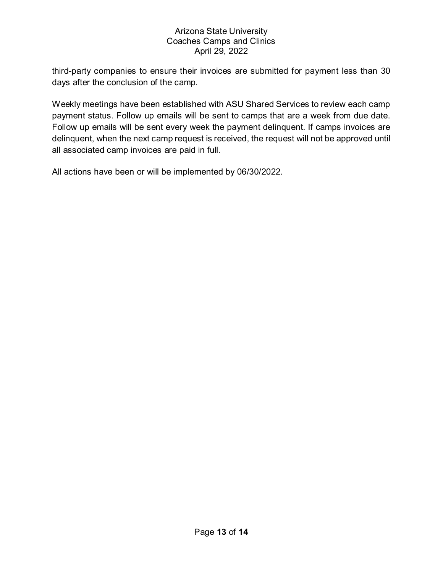third-party companies to ensure their invoices are submitted for payment less than 30 days after the conclusion of the camp.

Weekly meetings have been established with ASU Shared Services to review each camp payment status. Follow up emails will be sent to camps that are a week from due date. Follow up emails will be sent every week the payment delinquent. If camps invoices are delinquent, when the next camp request is received, the request will not be approved until all associated camp invoices are paid in full.

All actions have been or will be implemented by 06/30/2022.